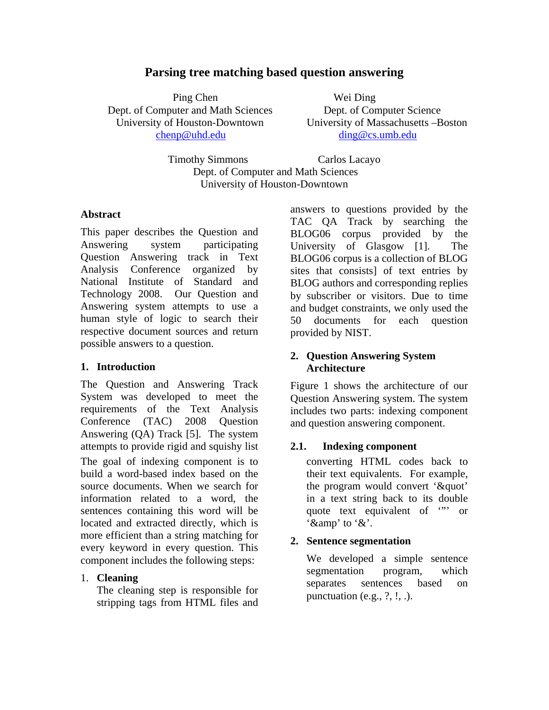# **Parsing tree matching based question answering**

Ping Chen Wei Ding Dept. of Computer and Math Sciences Dept. of Computer Science chenp@uhd.edu ding@cs.umb.edu

University of Houston-Downtown University of Massachusetts –Boston

Timothy Simmons Carlos Lacayo Dept. of Computer and Math Sciences University of Houston-Downtown

#### **Abstract**

This paper describes the Question and Answering system participating Question Answering track in Text Analysis Conference organized by National Institute of Standard and Technology 2008. Our Question and Answering system attempts to use a human style of logic to search their respective document sources and return possible answers to a question.

#### **1. Introduction**

The Question and Answering Track System was developed to meet the requirements of the Text Analysis Conference (TAC) 2008 Question Answering (QA) Track [5]. The system attempts to provide rigid and squishy list The goal of indexing component is to build a word-based index based on the source documents. When we search for information related to a word, the sentences containing this word will be located and extracted directly, which is more efficient than a string matching for every keyword in every question. This component includes the following steps:

#### 1. **Cleaning**

The cleaning step is responsible for stripping tags from HTML files and answers to questions provided by the TAC QA Track by searching the BLOG06 corpus provided by the University of Glasgow [1]. The BLOG06 corpus is a collection of BLOG sites that consists] of text entries by BLOG authors and corresponding replies by subscriber or visitors. Due to time and budget constraints, we only used the 50 documents for each question provided by NIST.

### **2. Question Answering System Architecture**

Figure 1 shows the architecture of our Question Answering system. The system includes two parts: indexing component and question answering component.

# **2.1. Indexing component**

converting HTML codes back to their text equivalents. For example, the program would convert '&quot' in a text string back to its double quote text equivalent of "" or '&amp' to '&'.

# **2. Sentence segmentation**

We developed a simple sentence segmentation program, which separates sentences based on punctuation (e.g.,  $?$ ,  $!,$ .).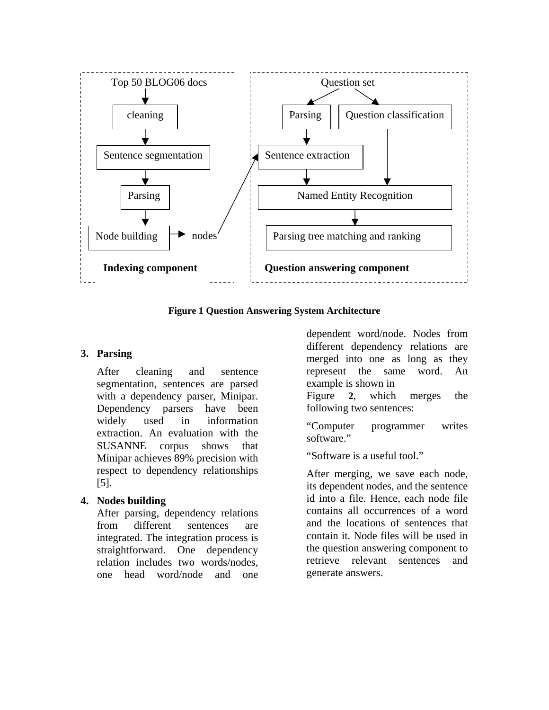



### **3. Parsing**

After cleaning and sentence segmentation, sentences are parsed with a dependency parser, Minipar. Dependency parsers have been widely used in information extraction. An evaluation with the SUSANNE corpus shows that Minipar achieves 89% precision with respect to dependency relationships [5].

# **4. Nodes building**

After parsing, dependency relations from different sentences are integrated. The integration process is straightforward. One dependency relation includes two words/nodes, one head word/node and one dependent word/node. Nodes from different dependency relations are merged into one as long as they represent the same word. An example is shown in

Figure **2**, which merges the following two sentences:

"Computer programmer writes software."

"Software is a useful tool."

After merging, we save each node, its dependent nodes, and the sentence id into a file. Hence, each node file contains all occurrences of a word and the locations of sentences that contain it. Node files will be used in the question answering component to retrieve relevant sentences and generate answers.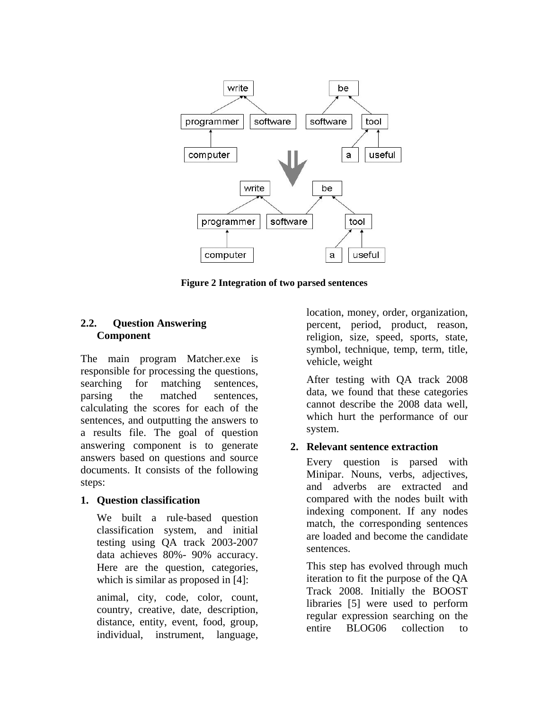

**Figure 2 Integration of two parsed sentences** 

#### **2.2. Question Answering Component**

The main program Matcher.exe is responsible for processing the questions, searching for matching sentences, parsing the matched sentences, calculating the scores for each of the sentences, and outputting the answers to a results file. The goal of question answering component is to generate answers based on questions and source documents. It consists of the following steps:

# **1. Question classification**

We built a rule-based question classification system, and initial testing using QA track 2003-2007 data achieves 80%- 90% accuracy. Here are the question, categories, which is similar as proposed in [4]:

animal, city, code, color, count, country, creative, date, description, distance, entity, event, food, group, individual, instrument, language,

location, money, order, organization, percent, period, product, reason, religion, size, speed, sports, state, symbol, technique, temp, term, title, vehicle, weight

After testing with QA track 2008 data, we found that these categories cannot describe the 2008 data well, which hurt the performance of our system.

# **2. Relevant sentence extraction**

Every question is parsed with Minipar. Nouns, verbs, adjectives, and adverbs are extracted and compared with the nodes built with indexing component. If any nodes match, the corresponding sentences are loaded and become the candidate sentences.

This step has evolved through much iteration to fit the purpose of the QA Track 2008. Initially the BOOST libraries [5] were used to perform regular expression searching on the entire BLOG06 collection to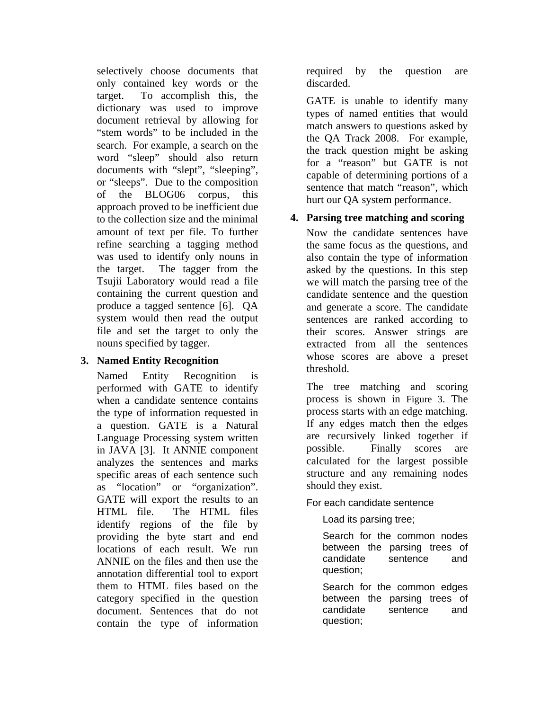selectively choose documents that only contained key words or the target. To accomplish this, the dictionary was used to improve document retrieval by allowing for "stem words" to be included in the search. For example, a search on the word "sleep" should also return documents with "slept", "sleeping", or "sleeps". Due to the composition of the BLOG06 corpus, this approach proved to be inefficient due to the collection size and the minimal amount of text per file. To further refine searching a tagging method was used to identify only nouns in the target. The tagger from the Tsujii Laboratory would read a file containing the current question and produce a tagged sentence [6]. QA system would then read the output file and set the target to only the nouns specified by tagger.

### **3. Named Entity Recognition**

Named Entity Recognition is performed with GATE to identify when a candidate sentence contains the type of information requested in a question. GATE is a Natural Language Processing system written in JAVA [3]. It ANNIE component analyzes the sentences and marks specific areas of each sentence such as "location" or "organization". GATE will export the results to an HTML file. The HTML files identify regions of the file by providing the byte start and end locations of each result. We run ANNIE on the files and then use the annotation differential tool to export them to HTML files based on the category specified in the question document. Sentences that do not contain the type of information

required by the question are discarded.

GATE is unable to identify many types of named entities that would match answers to questions asked by the QA Track 2008. For example, the track question might be asking for a "reason" but GATE is not capable of determining portions of a sentence that match "reason", which hurt our QA system performance.

# **4. Parsing tree matching and scoring**

Now the candidate sentences have the same focus as the questions, and also contain the type of information asked by the questions. In this step we will match the parsing tree of the candidate sentence and the question and generate a score. The candidate sentences are ranked according to their scores. Answer strings are extracted from all the sentences whose scores are above a preset threshold.

The tree matching and scoring process is shown in Figure 3. The process starts with an edge matching. If any edges match then the edges are recursively linked together if possible. Finally scores are calculated for the largest possible structure and any remaining nodes should they exist.

For each candidate sentence

Load its parsing tree;

Search for the common nodes between the parsing trees of candidate sentence and question;

Search for the common edges between the parsing trees of candidate sentence and question;